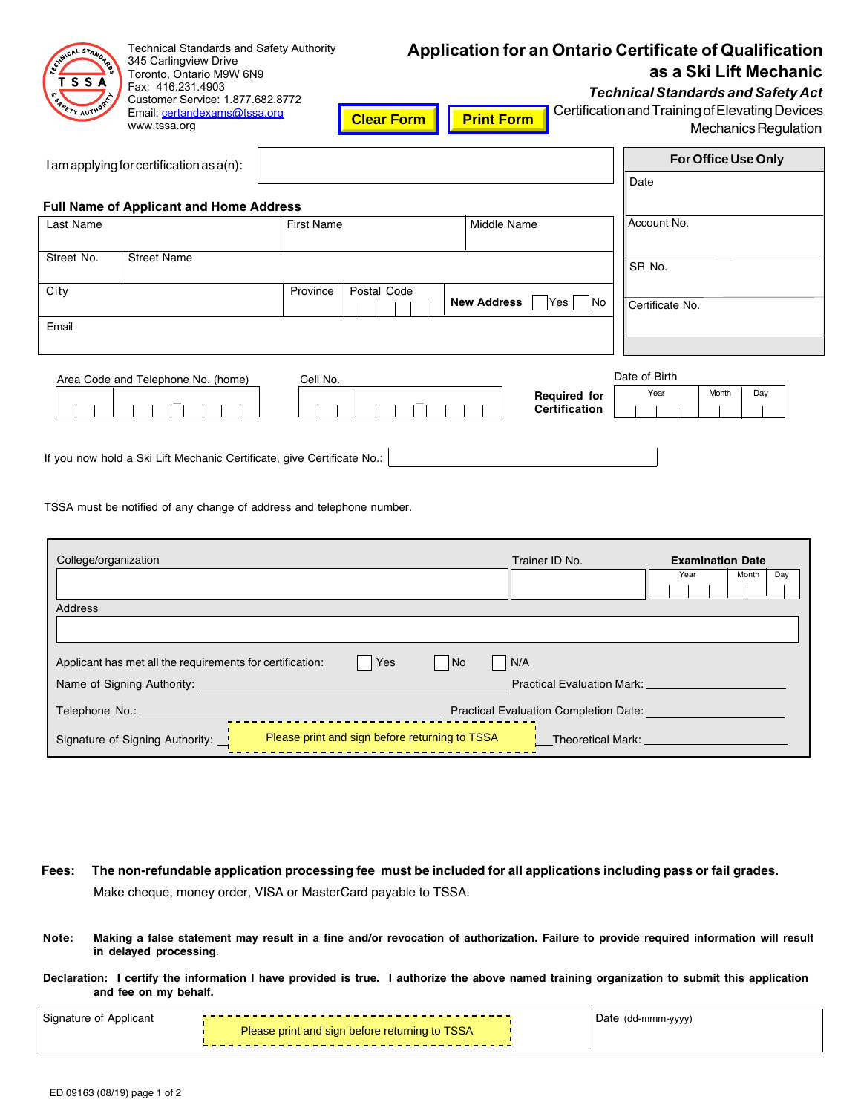|                        | <b>Technical Standards and Safety Authority</b> |
|------------------------|-------------------------------------------------|
| GYMICAL<br><b>DARC</b> | 345 Carlingview Drive                           |
|                        | Toronto, Ontario M9W 6N9                        |
| TSSA                   | Fax: 416.231.4903                               |
| ¢<br>TY AUTHORITY      | Customer Service: 1.877.682.8772                |
|                        | Email: certandexams@tssa.org                    |

www.tssa.org

# **Application for an Ontario Certificate of Qualification as a Ski Lift Mechanic**

*Technical Standards and Safety Act*

| m | <b>Certification and Training of Elevating Devices</b> |
|---|--------------------------------------------------------|
|   | <b>Mechanics Regulation</b>                            |

| $l$ am applying for certification as $a(n)$ :                   |  |
|-----------------------------------------------------------------|--|
| Date                                                            |  |
| <b>Full Name of Applicant and Home Address</b>                  |  |
| Account No.<br><b>First Name</b><br>Last Name<br>Middle Name    |  |
|                                                                 |  |
| Street No.<br><b>Street Name</b><br>SR No.                      |  |
| City<br>Postal Code<br>Province                                 |  |
| Yes No<br><b>New Address</b><br>Certificate No.                 |  |
| Email                                                           |  |
|                                                                 |  |
| Date of Birth<br>Area Code and Telephone No. (home)<br>Cell No. |  |
| Year<br>Day<br>Month<br><b>Required for</b>                     |  |
| <b>Certification</b>                                            |  |
| $\mathbf{r}$                                                    |  |

**Clear Form | Print For** 

TSSA must be notified of any change of address and telephone number.

If you now hold a Ski Lift Mechanic Certificate, give Certificate No.:

| College/organization                                                                                                                                                                                                                                                           | Trainer ID No.                    | <b>Examination Date</b> |              |  |  |
|--------------------------------------------------------------------------------------------------------------------------------------------------------------------------------------------------------------------------------------------------------------------------------|-----------------------------------|-------------------------|--------------|--|--|
|                                                                                                                                                                                                                                                                                |                                   | Year                    | Day<br>Month |  |  |
| Address                                                                                                                                                                                                                                                                        |                                   |                         |              |  |  |
|                                                                                                                                                                                                                                                                                |                                   |                         |              |  |  |
|                                                                                                                                                                                                                                                                                |                                   |                         |              |  |  |
| Yes<br>Applicant has met all the requirements for certification:<br>No<br>  N/A                                                                                                                                                                                                |                                   |                         |              |  |  |
| Name of Signing Authority:                                                                                                                                                                                                                                                     | <b>Practical Evaluation Mark:</b> |                         |              |  |  |
| Telephone No.: The Contract of the Contract of the Contract of the Contract of the Contract of the Contract of the Contract of the Contract of the Contract of the Contract of the Contract of the Contract of the Contract of<br><b>Practical Evaluation Completion Date:</b> |                                   |                         |              |  |  |
| Please print and sign before returning to TSSA<br>Signature of Signing Authority: _                                                                                                                                                                                            | Theoretical Mark:                 |                         |              |  |  |

- Make cheque, money order, VISA or MasterCard payable to TSSA. **Fees: The non-refundable application processing fee must be included for all applications including pass or fail grades.**
- **Note: Making a false statement may result in a fine and/or revocation of authorization. Failure to provide required information will result in delayed processing**.
- **Declaration: I certify the information I have provided is true. I authorize the above named training organization to submit this application and fee on my behalf.**

| Signature<br>Applicant<br>. ப |                                                       |  | Date<br>(dd-mmm-yyyy) |  |
|-------------------------------|-------------------------------------------------------|--|-----------------------|--|
|                               | Please print and sign before returning<br><b>TSSA</b> |  |                       |  |
|                               |                                                       |  |                       |  |